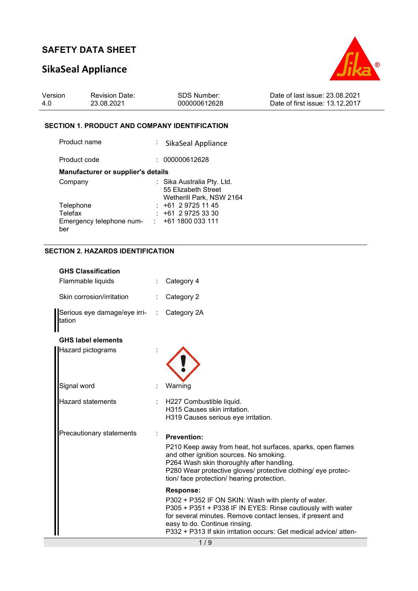# **SikaSeal Appliance**



| Version | <b>Revision Date:</b> | SDS Number:  | Date of last issue: 23.08.2021  |
|---------|-----------------------|--------------|---------------------------------|
| 4.0     | 23.08.2021            | 000000612628 | Date of first issue: 13.12.2017 |

### **SECTION 1. PRODUCT AND COMPANY IDENTIFICATION**

| Product name                              | : SikaSeal Appliance                                                          |
|-------------------------------------------|-------------------------------------------------------------------------------|
| Product code                              | : 000000612628                                                                |
| <b>Manufacturer or supplier's details</b> |                                                                               |
| Company                                   | : Sika Australia Pty. Ltd.<br>55 Elizabeth Street<br>Wetherill Park, NSW 2164 |
| Telephone                                 | $: +61297251145$                                                              |
| Telefax                                   | $: +61297253330$                                                              |
| Emergency telephone num-<br>ber           | +61 1800 033 111<br>t in                                                      |

## **SECTION 2. HAZARDS IDENTIFICATION**

| <b>GHS Classification</b>              |                                                                                                                                                                                                                                                                                                   |
|----------------------------------------|---------------------------------------------------------------------------------------------------------------------------------------------------------------------------------------------------------------------------------------------------------------------------------------------------|
| Flammable liquids                      | Category 4                                                                                                                                                                                                                                                                                        |
| Skin corrosion/irritation              | Category 2                                                                                                                                                                                                                                                                                        |
| Serious eye damage/eye irri-<br>tation | Category 2A                                                                                                                                                                                                                                                                                       |
| <b>GHS label elements</b>              |                                                                                                                                                                                                                                                                                                   |
| Hazard pictograms                      |                                                                                                                                                                                                                                                                                                   |
| Signal word                            | Warning                                                                                                                                                                                                                                                                                           |
| Hazard statements                      | H227 Combustible liquid.<br>H315 Causes skin irritation.<br>H319 Causes serious eye irritation.                                                                                                                                                                                                   |
| Precautionary statements               | <b>Prevention:</b><br>P210 Keep away from heat, hot surfaces, sparks, open flames<br>and other ignition sources. No smoking.<br>P264 Wash skin thoroughly after handling.<br>P280 Wear protective gloves/ protective clothing/ eye protec-<br>tion/ face protection/ hearing protection.          |
|                                        | Response:<br>P302 + P352 IF ON SKIN: Wash with plenty of water.<br>P305 + P351 + P338 IF IN EYES: Rinse cautiously with water<br>for several minutes. Remove contact lenses, if present and<br>easy to do. Continue rinsing.<br>P332 + P313 If skin irritation occurs: Get medical advice/ atten- |
|                                        | 1/9                                                                                                                                                                                                                                                                                               |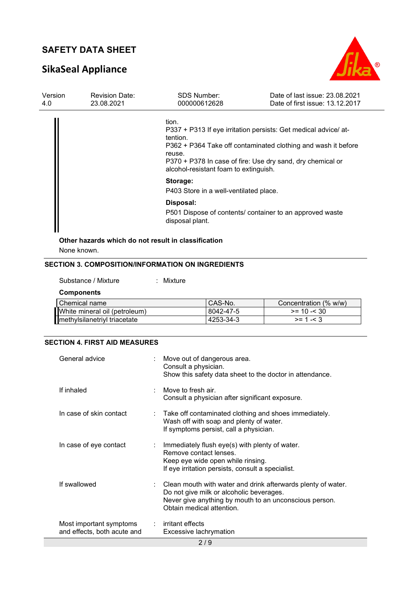# **SikaSeal Appliance**



| Version<br>4.0 | <b>Revision Date:</b><br>23.08.2021 | <b>SDS Number:</b><br>000000612628                                   | Date of last issue: 23.08.2021<br>Date of first issue: 13.12.2017                                                                                                                              |
|----------------|-------------------------------------|----------------------------------------------------------------------|------------------------------------------------------------------------------------------------------------------------------------------------------------------------------------------------|
|                |                                     | tion.<br>tention.<br>reuse.<br>alcohol-resistant foam to extinguish. | P337 + P313 If eye irritation persists: Get medical advice/ at-<br>P362 + P364 Take off contaminated clothing and wash it before<br>P370 + P378 In case of fire: Use dry sand, dry chemical or |
|                |                                     | Storage:<br>P403 Store in a well-ventilated place.                   |                                                                                                                                                                                                |
|                |                                     | Disposal:<br>disposal plant.                                         | P501 Dispose of contents/ container to an approved waste                                                                                                                                       |
|                |                                     | Other hazards which do not result in classification                  |                                                                                                                                                                                                |

None known.

## **SECTION 3. COMPOSITION/INFORMATION ON INGREDIENTS**

Substance / Mixture : Mixture :

#### **Components**

| l Chemical name               | CAS-No.   | Concentration (% w/w) |
|-------------------------------|-----------|-----------------------|
| White mineral oil (petroleum) | 8042-47-5 | $>= 10 - 30$          |
| methylsilanetriyl triacetate  | 4253-34-3 | $>= 1 - 3$            |

## **SECTION 4. FIRST AID MEASURES**

| General advice                                         | : Move out of dangerous area.<br>Consult a physician.<br>Show this safety data sheet to the doctor in attendance.                                                                                            |
|--------------------------------------------------------|--------------------------------------------------------------------------------------------------------------------------------------------------------------------------------------------------------------|
| If inhaled                                             | Move to fresh air<br>Consult a physician after significant exposure.                                                                                                                                         |
| In case of skin contact                                | : Take off contaminated clothing and shoes immediately.<br>Wash off with soap and plenty of water.<br>If symptoms persist, call a physician.                                                                 |
| In case of eye contact                                 | : Immediately flush eye(s) with plenty of water.<br>Remove contact lenses.<br>Keep eye wide open while rinsing.<br>If eye irritation persists, consult a specialist.                                         |
| If swallowed                                           | $\therefore$ Clean mouth with water and drink afterwards plenty of water.<br>Do not give milk or alcoholic beverages.<br>Never give anything by mouth to an unconscious person.<br>Obtain medical attention. |
| Most important symptoms<br>and effects, both acute and | $:$ irritant effects<br>Excessive lachrymation                                                                                                                                                               |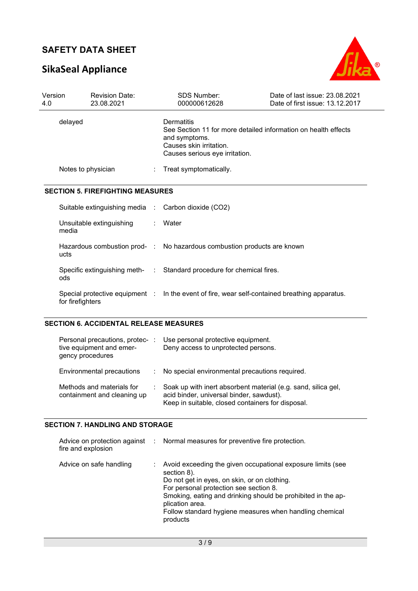# **SikaSeal Appliance**



| Version<br>4.0 | <b>Revision Date:</b><br>23.08.2021                |  | <b>SDS Number:</b><br>000000612628                                                                                                                         | Date of last issue: 23.08.2021<br>Date of first issue: 13.12.2017 |
|----------------|----------------------------------------------------|--|------------------------------------------------------------------------------------------------------------------------------------------------------------|-------------------------------------------------------------------|
| delayed        |                                                    |  | Dermatitis<br>See Section 11 for more detailed information on health effects<br>and symptoms.<br>Causes skin irritation.<br>Causes serious eye irritation. |                                                                   |
|                | Notes to physician                                 |  | Treat symptomatically.                                                                                                                                     |                                                                   |
|                | <b>SECTION 5. FIREFIGHTING MEASURES</b>            |  |                                                                                                                                                            |                                                                   |
|                |                                                    |  | Suitable extinguishing media : Carbon dioxide (CO2)                                                                                                        |                                                                   |
|                | Unsuitable extinguishing<br>media                  |  | Water                                                                                                                                                      |                                                                   |
|                | ucts                                               |  | Hazardous combustion prod- : No hazardous combustion products are known                                                                                    |                                                                   |
|                | ods                                                |  | Specific extinguishing meth- : Standard procedure for chemical fires.                                                                                      |                                                                   |
|                | Special protective equipment :<br>for firefighters |  | In the event of fire, wear self-contained breathing apparatus.                                                                                             |                                                                   |

### **SECTION 6. ACCIDENTAL RELEASE MEASURES**

| Personal precautions, protec-:<br>tive equipment and emer-<br>gency procedures |    | Use personal protective equipment.<br>Deny access to unprotected persons.                                                                                      |
|--------------------------------------------------------------------------------|----|----------------------------------------------------------------------------------------------------------------------------------------------------------------|
| Environmental precautions                                                      |    | : No special environmental precautions required.                                                                                                               |
| Methods and materials for<br>containment and cleaning up                       | ÷. | Soak up with inert absorbent material (e.g. sand, silica gel,<br>acid binder, universal binder, sawdust).<br>Keep in suitable, closed containers for disposal. |

### **SECTION 7. HANDLING AND STORAGE**

| fire and explosion      | Advice on protection against : Normal measures for preventive fire protection.                                                                                                                                                                                                                                                 |
|-------------------------|--------------------------------------------------------------------------------------------------------------------------------------------------------------------------------------------------------------------------------------------------------------------------------------------------------------------------------|
| Advice on safe handling | Avoid exceeding the given occupational exposure limits (see<br>section 8).<br>Do not get in eyes, on skin, or on clothing.<br>For personal protection see section 8.<br>Smoking, eating and drinking should be prohibited in the ap-<br>plication area.<br>Follow standard hygiene measures when handling chemical<br>products |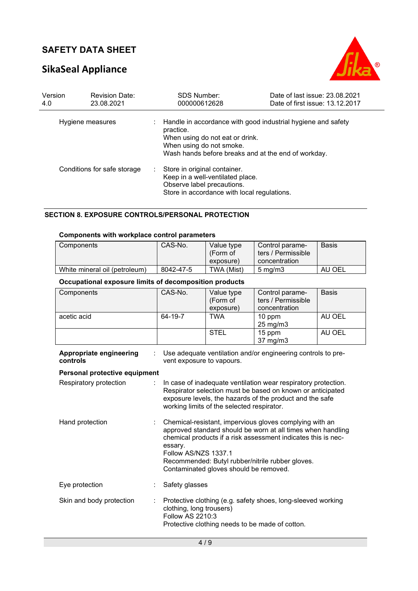# **SikaSeal Appliance**



| Version<br>4.0   | <b>Revision Date:</b><br>23.08.2021 |    | <b>SDS Number:</b><br>000000612628                                                                                                                                                              | Date of last issue: 23.08.2021<br>Date of first issue: 13.12.2017 |
|------------------|-------------------------------------|----|-------------------------------------------------------------------------------------------------------------------------------------------------------------------------------------------------|-------------------------------------------------------------------|
| Hygiene measures |                                     |    | Handle in accordance with good industrial hygiene and safety<br>practice.<br>When using do not eat or drink.<br>When using do not smoke.<br>Wash hands before breaks and at the end of workday. |                                                                   |
|                  | Conditions for safe storage         | t. | Store in original container.<br>Keep in a well-ventilated place.<br>Observe label precautions.<br>Store in accordance with local regulations.                                                   |                                                                   |

### **SECTION 8. EXPOSURE CONTROLS/PERSONAL PROTECTION**

## **Components with workplace control parameters**

| Components                    | CAS-No.   | Value type<br>(Form of<br>exposure) | Control parame-<br>ters / Permissible<br>concentration | Basis  |
|-------------------------------|-----------|-------------------------------------|--------------------------------------------------------|--------|
|                               |           |                                     |                                                        |        |
| White mineral oil (petroleum) | 8042-47-5 | TWA (Mist)                          | $5 \text{ ma/m}$ 3                                     | AU OEL |

### **Occupational exposure limits of decomposition products**

| Components                          | CAS-No.                                      | Value type<br>(Form of<br>exposure)        | Control parame-<br>ters / Permissible<br>concentration                                                                                                                                                                                      | <b>Basis</b> |
|-------------------------------------|----------------------------------------------|--------------------------------------------|---------------------------------------------------------------------------------------------------------------------------------------------------------------------------------------------------------------------------------------------|--------------|
| acetic acid                         | 64-19-7                                      | <b>TWA</b>                                 | 10 ppm<br>25 mg/m3                                                                                                                                                                                                                          | AU OEL       |
|                                     |                                              | <b>STEL</b>                                | 15 ppm<br>37 mg/m3                                                                                                                                                                                                                          | AU OEL       |
| Appropriate engineering<br>controls | vent exposure to vapours.                    |                                            | Use adequate ventilation and/or engineering controls to pre-                                                                                                                                                                                |              |
| Personal protective equipment       |                                              |                                            |                                                                                                                                                                                                                                             |              |
| Respiratory protection              |                                              | working limits of the selected respirator. | In case of inadequate ventilation wear respiratory protection.<br>Respirator selection must be based on known or anticipated<br>exposure levels, the hazards of the product and the safe                                                    |              |
| Hand protection                     | essary.<br>Follow AS/NZS 1337.1              | Contaminated gloves should be removed.     | Chemical-resistant, impervious gloves complying with an<br>approved standard should be worn at all times when handling<br>chemical products if a risk assessment indicates this is nec-<br>Recommended: Butyl rubber/nitrile rubber gloves. |              |
| Eye protection                      | Safety glasses                               |                                            |                                                                                                                                                                                                                                             |              |
| Skin and body protection            | clothing, long trousers)<br>Follow AS 2210:3 |                                            | Protective clothing (e.g. safety shoes, long-sleeved working<br>Protective clothing needs to be made of cotton.                                                                                                                             |              |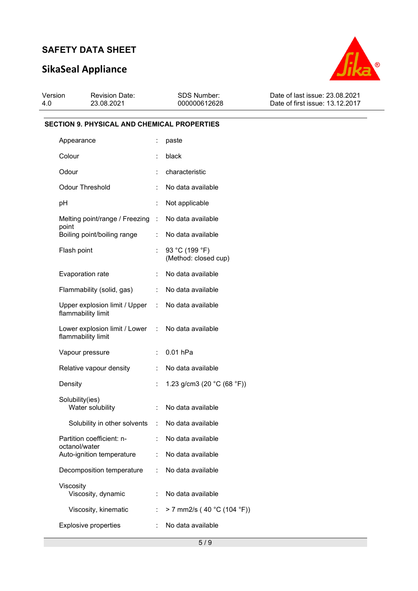# **SikaSeal Appliance**



| Version | <b>Revision Date:</b> | <b>SDS Number:</b> | Date of last issue: 23.08.2021  |
|---------|-----------------------|--------------------|---------------------------------|
| -4.0    | 23.08.2021            | 000000612628       | Date of first issue: 13.12.2017 |
|         |                       |                    |                                 |

### **SECTION 9. PHYSICAL AND CHEMICAL PROPERTIES**

| Appearance                                                              | ÷                         | paste                                  |
|-------------------------------------------------------------------------|---------------------------|----------------------------------------|
| Colour                                                                  |                           | black                                  |
| Odour                                                                   |                           | characteristic                         |
| <b>Odour Threshold</b>                                                  | ÷                         | No data available                      |
| рH                                                                      | ÷                         | Not applicable                         |
| Melting point/range / Freezing :<br>point                               |                           | No data available                      |
| Boiling point/boiling range                                             | t.                        | No data available                      |
| Flash point                                                             |                           | 93 °C (199 °F)<br>(Method: closed cup) |
| Evaporation rate                                                        |                           | No data available                      |
| Flammability (solid, gas)                                               |                           | : No data available                    |
| Upper explosion limit / Upper : No data available<br>flammability limit |                           |                                        |
| Lower explosion limit / Lower : No data available<br>flammability limit |                           |                                        |
| Vapour pressure                                                         | $\mathbb{R}^{\mathbb{Z}}$ | $0.01$ hPa                             |
| Relative vapour density                                                 | $\mathbb{R}^{\mathbb{Z}}$ | No data available                      |
| Density                                                                 | t.                        | 1.23 g/cm3 (20 $°C$ (68 °F))           |
| Solubility(ies)<br>Water solubility                                     | ÷                         | No data available                      |
|                                                                         |                           |                                        |
| Solubility in other solvents : No data available                        |                           |                                        |
| Partition coefficient: n-<br>octanol/water                              | ÷                         | No data available                      |
| Auto-ignition temperature                                               |                           | No data available                      |
| Decomposition temperature                                               | t.                        | No data available                      |
| Viscosity<br>Viscosity, dynamic                                         |                           | No data available                      |
| Viscosity, kinematic                                                    |                           | > 7 mm2/s (40 °C (104 °F))             |
| <b>Explosive properties</b>                                             |                           | No data available                      |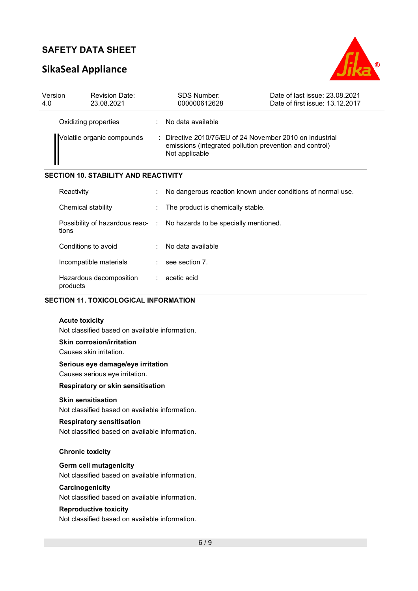# **SikaSeal Appliance**



| Version<br>4.0                              | <b>Revision Date:</b><br>23.08.2021 |   | <b>SDS Number:</b><br>000000612628                                                                                                    | Date of last issue: 23.08.2021<br>Date of first issue: 13.12.2017 |  |
|---------------------------------------------|-------------------------------------|---|---------------------------------------------------------------------------------------------------------------------------------------|-------------------------------------------------------------------|--|
|                                             | Oxidizing properties                |   | No data available                                                                                                                     |                                                                   |  |
| Volatile organic compounds                  |                                     |   | : Directive 2010/75/EU of 24 November 2010 on industrial<br>emissions (integrated pollution prevention and control)<br>Not applicable |                                                                   |  |
| <b>SECTION 10. STABILITY AND REACTIVITY</b> |                                     |   |                                                                                                                                       |                                                                   |  |
|                                             | Reactivity                          |   |                                                                                                                                       | No dangerous reaction known under conditions of normal use.       |  |
|                                             | Chemical stability                  |   | The product is chemically stable.                                                                                                     |                                                                   |  |
|                                             | tions                               |   | Possibility of hazardous reac- : No hazards to be specially mentioned.                                                                |                                                                   |  |
|                                             | Conditions to avoid                 | ÷ | No data available                                                                                                                     |                                                                   |  |

| Reactivity                                | ÷                    | No dangerous reaction known under conditions of normal use. |
|-------------------------------------------|----------------------|-------------------------------------------------------------|
| Chemical stability                        | ÷                    | The product is chemically stable.                           |
| Possibility of hazardous reac- :<br>tions |                      | No hazards to be specially mentioned.                       |
| Conditions to avoid                       | ÷                    | No data available                                           |
| Incompatible materials                    | $\ddot{\phantom{a}}$ | see section 7.                                              |
| Hazardous decomposition<br>products       |                      | $:$ acetic acid                                             |

## **SECTION 11. TOXICOLOGICAL INFORMATION**

#### **Acute toxicity**

Not classified based on available information.

**Skin corrosion/irritation** 

Causes skin irritation.

#### **Serious eye damage/eye irritation**

Causes serious eye irritation.

#### **Respiratory or skin sensitisation**

#### **Skin sensitisation**

Not classified based on available information.

#### **Respiratory sensitisation**

Not classified based on available information.

#### **Chronic toxicity**

### **Germ cell mutagenicity**

Not classified based on available information.

### **Carcinogenicity**

Not classified based on available information.

#### **Reproductive toxicity**

Not classified based on available information.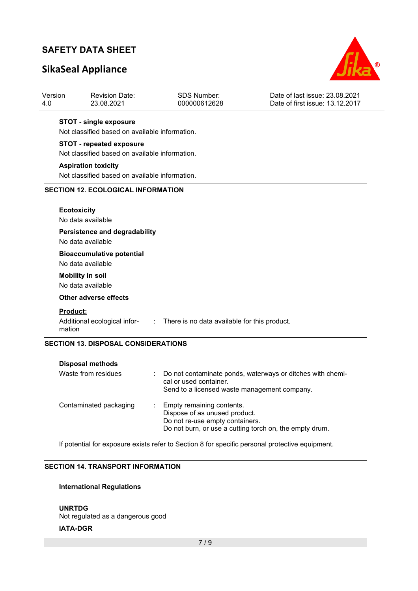# **SikaSeal Appliance**



| Version<br>4.0     | <b>Revision Date:</b><br>23.08.2021                         | <b>SDS Number:</b><br>000000612628           | Date of last issue: 23.08.2021<br>Date of first issue: 13.12.2017 |  |  |  |  |  |  |
|--------------------|-------------------------------------------------------------|----------------------------------------------|-------------------------------------------------------------------|--|--|--|--|--|--|
|                    | <b>STOT - single exposure</b>                               |                                              |                                                                   |  |  |  |  |  |  |
|                    | Not classified based on available information.              |                                              |                                                                   |  |  |  |  |  |  |
|                    | <b>STOT - repeated exposure</b>                             |                                              |                                                                   |  |  |  |  |  |  |
|                    | Not classified based on available information.              |                                              |                                                                   |  |  |  |  |  |  |
|                    | <b>Aspiration toxicity</b>                                  |                                              |                                                                   |  |  |  |  |  |  |
|                    | Not classified based on available information.              |                                              |                                                                   |  |  |  |  |  |  |
|                    | <b>SECTION 12. ECOLOGICAL INFORMATION</b>                   |                                              |                                                                   |  |  |  |  |  |  |
|                    | <b>Ecotoxicity</b>                                          |                                              |                                                                   |  |  |  |  |  |  |
|                    | No data available                                           |                                              |                                                                   |  |  |  |  |  |  |
|                    | <b>Persistence and degradability</b><br>No data available   |                                              |                                                                   |  |  |  |  |  |  |
|                    | <b>Bioaccumulative potential</b><br>No data available       |                                              |                                                                   |  |  |  |  |  |  |
|                    | <b>Mobility in soil</b><br>No data available                |                                              |                                                                   |  |  |  |  |  |  |
|                    | <b>Other adverse effects</b>                                |                                              |                                                                   |  |  |  |  |  |  |
| Product:<br>mation | Additional ecological infor-<br>$\mathcal{L}^{\mathcal{L}}$ | There is no data available for this product. |                                                                   |  |  |  |  |  |  |
|                    | <b>SECTION 13. DISPOSAL CONSIDERATIONS</b>                  |                                              |                                                                   |  |  |  |  |  |  |
|                    | <b>Disposal methods</b>                                     |                                              |                                                                   |  |  |  |  |  |  |
|                    | Waste from residues                                         |                                              | Do not contaminate ponds, waterways or ditches with chemi-        |  |  |  |  |  |  |

|                        | se not comanimate pondo, natornaje or altence mun enem<br>cal or used container.<br>Send to a licensed waste management company.                           |
|------------------------|------------------------------------------------------------------------------------------------------------------------------------------------------------|
| Contaminated packaging | : Empty remaining contents.<br>Dispose of as unused product.<br>Do not re-use empty containers.<br>Do not burn, or use a cutting torch on, the empty drum. |

If potential for exposure exists refer to Section 8 for specific personal protective equipment.

## **SECTION 14. TRANSPORT INFORMATION**

## **International Regulations**

**UNRTDG** Not regulated as a dangerous good **IATA-DGR**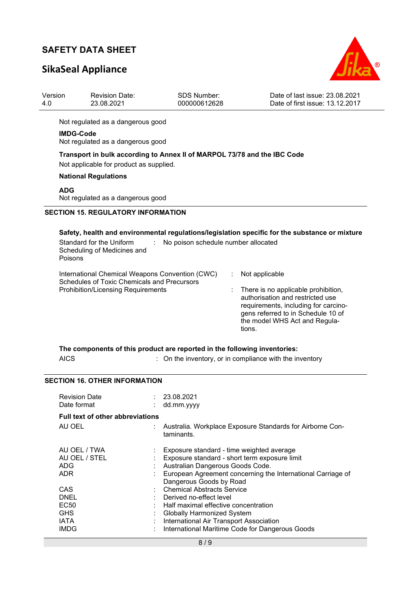# **SikaSeal Appliance**



| Version<br>4.0 |                  | <b>Revision Date:</b><br>23.08.2021                                                                                 | <b>SDS Number:</b><br>000000612628                      |                | Date of last issue: 23.08.2021<br>Date of first issue: 13.12.2017                                                                                                                      |
|----------------|------------------|---------------------------------------------------------------------------------------------------------------------|---------------------------------------------------------|----------------|----------------------------------------------------------------------------------------------------------------------------------------------------------------------------------------|
|                |                  | Not regulated as a dangerous good                                                                                   |                                                         |                |                                                                                                                                                                                        |
|                | <b>IMDG-Code</b> | Not regulated as a dangerous good                                                                                   |                                                         |                |                                                                                                                                                                                        |
|                |                  | Transport in bulk according to Annex II of MARPOL 73/78 and the IBC Code<br>Not applicable for product as supplied. |                                                         |                |                                                                                                                                                                                        |
|                |                  | <b>National Regulations</b>                                                                                         |                                                         |                |                                                                                                                                                                                        |
|                | <b>ADG</b>       | Not regulated as a dangerous good                                                                                   |                                                         |                |                                                                                                                                                                                        |
|                |                  | <b>SECTION 15. REGULATORY INFORMATION</b>                                                                           |                                                         |                |                                                                                                                                                                                        |
|                | Poisons          | Standard for the Uniform<br>Scheduling of Medicines and                                                             | No poison schedule number allocated                     |                | Safety, health and environmental regulations/legislation specific for the substance or mixture                                                                                         |
|                |                  | International Chemical Weapons Convention (CWC)                                                                     |                                                         | Not applicable |                                                                                                                                                                                        |
|                |                  | Schedules of Toxic Chemicals and Precursors<br><b>Prohibition/Licensing Requirements</b>                            |                                                         | tions.         | There is no applicable prohibition,<br>authorisation and restricted use<br>requirements, including for carcino-<br>gens referred to in Schedule 10 of<br>the model WHS Act and Regula- |
|                | <b>AICS</b>      | The components of this product are reported in the following inventories:                                           | : On the inventory, or in compliance with the inventory |                |                                                                                                                                                                                        |

## **SECTION 16. OTHER INFORMATION**

| <b>Revision Date</b><br>Date format                           | : 23.08.2021<br>dd.mm.yyyy                                                                                                                                                                                                                                      |
|---------------------------------------------------------------|-----------------------------------------------------------------------------------------------------------------------------------------------------------------------------------------------------------------------------------------------------------------|
| <b>Full text of other abbreviations</b>                       |                                                                                                                                                                                                                                                                 |
| AU OEL                                                        | Australia. Workplace Exposure Standards for Airborne Con-<br>taminants.                                                                                                                                                                                         |
| AU OEL / TWA<br>AU OEL / STEL<br><b>ADG</b><br><b>ADR</b>     | Exposure standard - time weighted average<br>Exposure standard - short term exposure limit<br>Australian Dangerous Goods Code.<br>European Agreement concerning the International Carriage of                                                                   |
| CAS<br>DNEL<br>EC <sub>50</sub><br><b>GHS</b><br>IATA<br>IMDG | Dangerous Goods by Road<br>: Chemical Abstracts Service<br>Derived no-effect level<br>Half maximal effective concentration<br><b>Globally Harmonized System</b><br>: International Air Transport Association<br>International Maritime Code for Dangerous Goods |